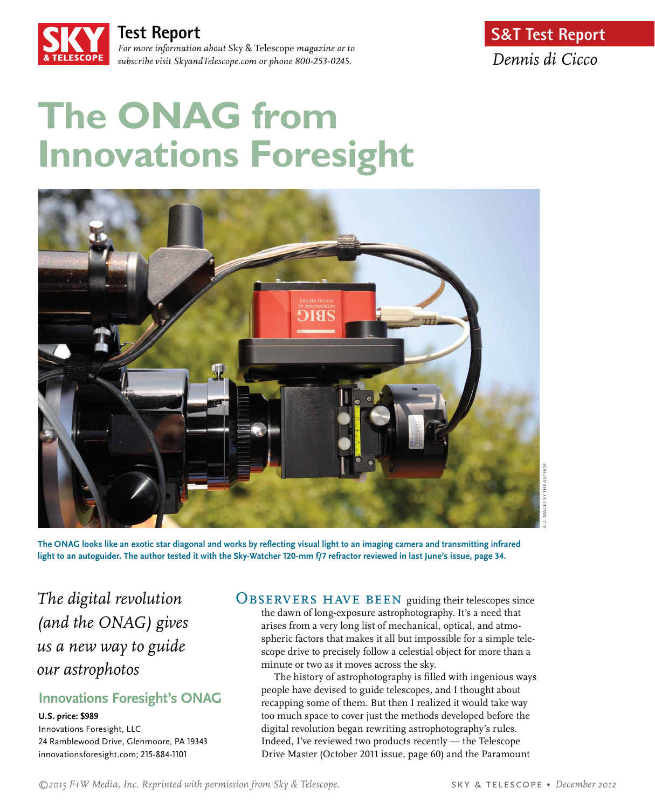

**Test Report**  *For more information about* Sky & Telescope *magazine or to* 

*subscribe visit SkyandTelescope.com or phone 800-253-0245.*

# **The ONAG from Innovations Foresight**



**The ONAG looks like an exotic star diagonal and works by reflecting visual light to an imaging camera and transmitting infrared light to an autoguider. The author tested it with the Sky-Watcher 120-mm f/7 refractor reviewed in last June's issue, page 34.**

*The digital revolution (and the ONAG) gives us a new way to guide our astrophotos*

# **Innovations Foresight's ONAG**

**U.S. price: \$989**  Innovations Foresight, LLC 24 Ramblewood Drive, Glenmoore, PA 19343 innovationsforesight.com; 215-884-1101

OBSERVERS HAVE BEEN guiding their telescopes since the dawn of long-exposure astrophotography. It's a need that arises from a very long list of mechanical, optical, and atmospheric factors that makes it all but impossible for a simple telescope drive to precisely follow a celestial object for more than a minute or two as it moves across the sky.

The history of astrophotography is filled with ingenious ways people have devised to guide telescopes, and I thought about recapping some of them. But then I realized it would take way too much space to cover just the methods developed before the digital revolution began rewriting astrophotography's rules. Indeed, I've reviewed two products recently — the Telescope Drive Master (October 2011 issue, page 60) and the Paramount

*©2015 F+W Media, Inc. Reprinted with permission from Sky & Telescope.* sky & telescope • *December 2012*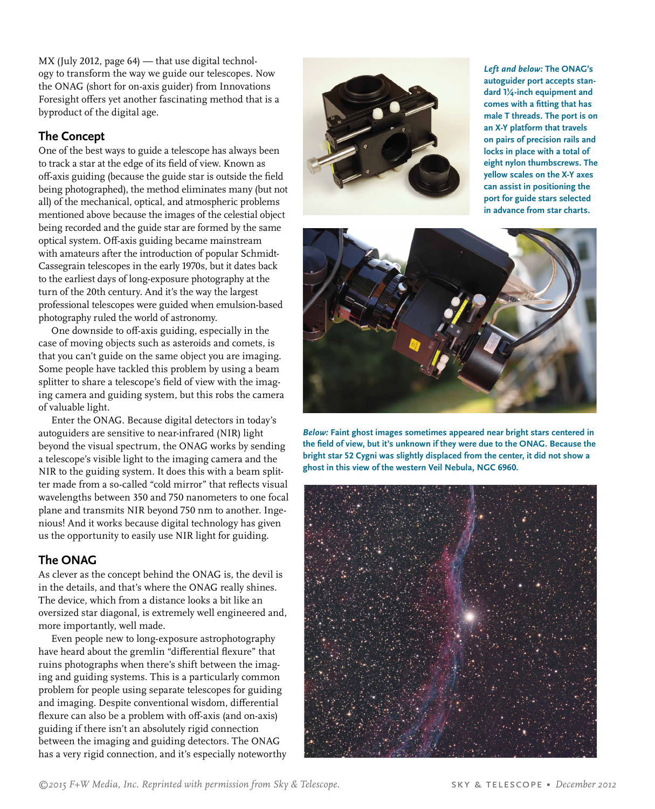MX (July 2012, page 64) — that use digital technology to transform the way we guide our telescopes. Now the ONAG (short for on-axis guider) from Innovations Foresight offers yet another fascinating method that is a byproduct of the digital age.

## **The Concept**

One of the best ways to guide a telescope has always been to track a star at the edge of its field of view. Known as off-axis guiding (because the guide star is outside the field being photographed), the method eliminates many (but not all) of the mechanical, optical, and atmospheric problems mentioned above because the images of the celestial object being recorded and the guide star are formed by the same optical system. Off-axis guiding became mainstream with amateurs after the introduction of popular Schmidt-Cassegrain telescopes in the early 1970s, but it dates back to the earliest days of long-exposure photography at the turn of the 20th century. And it's the way the largest professional telescopes were guided when emulsion-based photography ruled the world of astronomy.

One downside to off-axis guiding, especially in the case of moving objects such as asteroids and comets, is that you can't guide on the same object you are imaging. Some people have tackled this problem by using a beam splitter to share a telescope's field of view with the imaging camera and guiding system, but this robs the camera of valuable light.

Enter the ONAG. Because digital detectors in today's autoguiders are sensitive to near-infrared (NIR) light beyond the visual spectrum, the ONAG works by sending a telescope's visible light to the imaging camera and the NIR to the guiding system. It does this with a beam splitter made from a so-called "cold mirror" that reflects visual wavelengths between 350 and 750 nanometers to one focal plane and transmits NIR beyond 750 nm to another. Ingenious! And it works because digital technology has given us the opportunity to easily use NIR light for guiding.

## **The ONAG**

As clever as the concept behind the ONAG is, the devil is in the details, and that's where the ONAG really shines. The device, which from a distance looks a bit like an oversized star diagonal, is extremely well engineered and, more importantly, well made.

Even people new to long-exposure astrophotography have heard about the gremlin "differential flexure" that ruins photographs when there's shift between the imaging and guiding systems. This is a particularly common problem for people using separate telescopes for guiding and imaging. Despite conventional wisdom, differential flexure can also be a problem with off-axis (and on-axis) guiding if there isn't an absolutely rigid connection between the imaging and guiding detectors. The ONAG has a very rigid connection, and it's especially noteworthy



*Left and below:* **The ONAG's autoguider port accepts standard 1¼-inch equipment and comes with a fitting that has male T threads. The port is on an X-Y platform that travels on pairs of precision rails and locks in place with a total of eight nylon thumbscrews. The yellow scales on the X-Y axes can assist in positioning the port for guide stars selected in advance from star charts.** 



*Below:* **Faint ghost images sometimes appeared near bright stars centered in the field of view, but it's unknown if they were due to the ONAG. Because the bright star 52 Cygni was slightly displaced from the center, it did not show a ghost in this view of the western Veil Nebula, NGC 6960.**

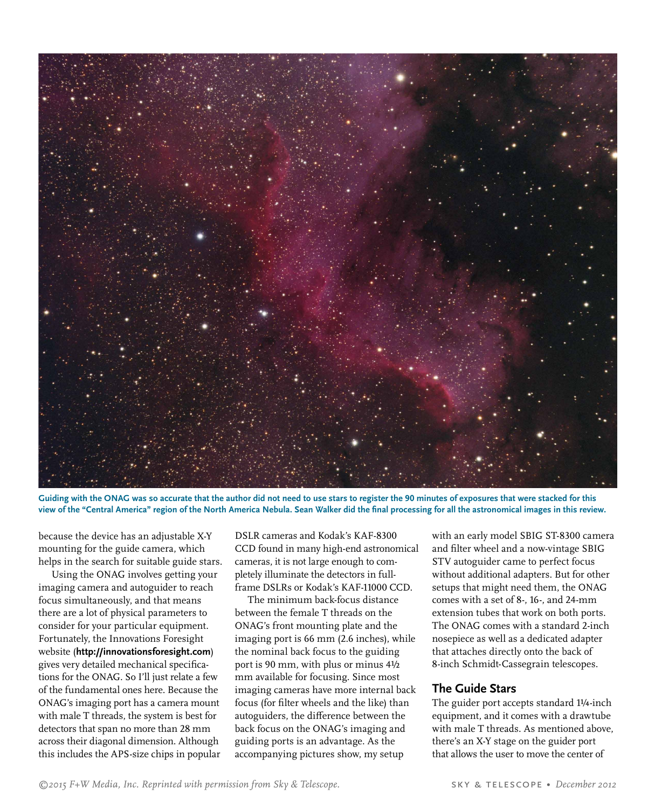

**Guiding with the ONAG was so accurate that the author did not need to use stars to register the 90 minutes of exposures that were stacked for this view of the "Central America" region of the North America Nebula. Sean Walker did the final processing for all the astronomical images in this review.**

because the device has an adjustable X-Y mounting for the guide camera, which helps in the search for suitable guide stars.

Using the ONAG involves getting your imaging camera and autoguider to reach focus simultaneously, and that means there are a lot of physical parameters to consider for your particular equipment. Fortunately, the Innovations Foresight website (**http://innovationsforesight.com**) gives very detailed mechanical specifications for the ONAG. So I'll just relate a few of the fundamental ones here. Because the ONAG's imaging port has a camera mount with male T threads, the system is best for detectors that span no more than 28 mm across their diagonal dimension. Although this includes the APS-size chips in popular DSLR cameras and Kodak's KAF-8300 CCD found in many high-end astronomical cameras, it is not large enough to completely illuminate the detectors in fullframe DSLRs or Kodak's KAF-11000 CCD.

The minimum back-focus distance between the female T threads on the ONAG's front mounting plate and the imaging port is 66 mm (2.6 inches), while the nominal back focus to the guiding port is 90 mm, with plus or minus 4½ mm available for focusing. Since most imaging cameras have more internal back focus (for filter wheels and the like) than autoguiders, the difference between the back focus on the ONAG's imaging and guiding ports is an advantage. As the accompanying pictures show, my setup

with an early model SBIG ST-8300 camera and filter wheel and a now-vintage SBIG STV autoguider came to perfect focus without additional adapters. But for other setups that might need them, the ONAG comes with a set of 8-, 16-, and 24-mm extension tubes that work on both ports. The ONAG comes with a standard 2-inch nosepiece as well as a dedicated adapter that attaches directly onto the back of 8-inch Schmidt-Cassegrain telescopes.

### **The Guide Stars**

The guider port accepts standard 1¼-inch equipment, and it comes with a drawtube with male T threads. As mentioned above, there's an X-Y stage on the guider port that allows the user to move the center of